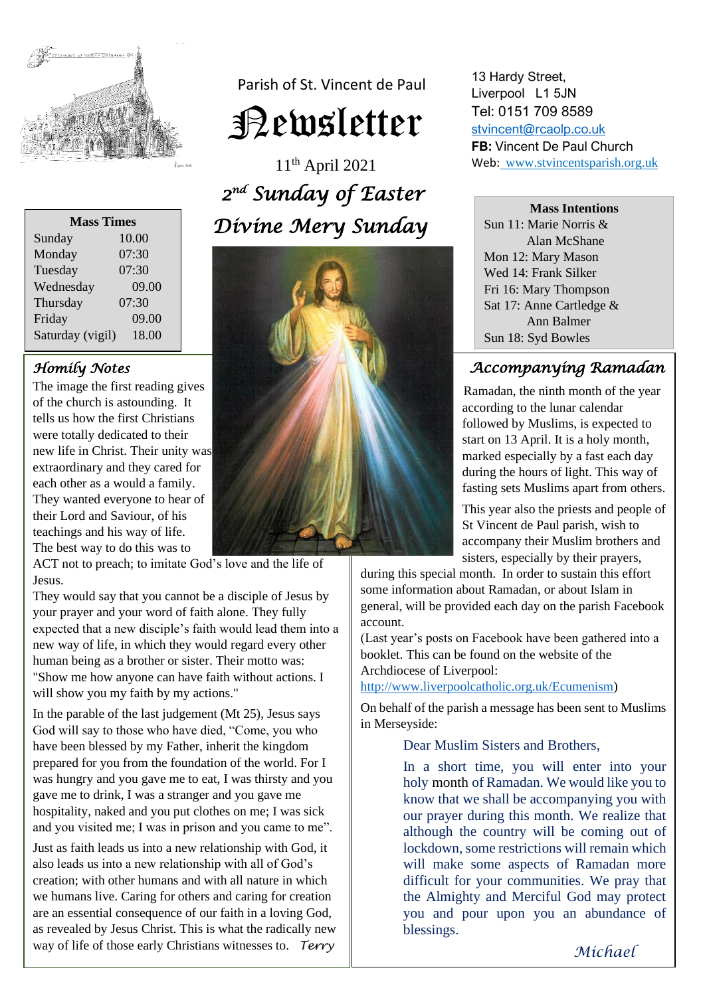

| Parish of St. Vincent de Paul |
|-------------------------------|
| <b>Pewsletter</b>             |

11th April 2021 *2 nd Sunday of Easter Divine Mery Sunday* 



**Mass Times** Sunday 10.00 Monday 07:30 Tuesday 07:30 Wednesday 09.00 Thursday 07:30 Friday 09.00 Saturday (vigil) 18.00

## *Homily Notes*

The image the first reading gives of the church is astounding. It tells us how the first Christians were totally dedicated to their new life in Christ. Their unity was extraordinary and they cared for each other as a would a family. They wanted everyone to hear of their Lord and Saviour, of his teachings and his way of life. The best way to do this was to

ACT not to preach; to imitate God's love and the life of Jesus.

They would say that you cannot be a disciple of Jesus by your prayer and your word of faith alone. They fully expected that a new disciple's faith would lead them into a new way of life, in which they would regard every other human being as a brother or sister. Their motto was: "Show me how anyone can have faith without actions. I will show you my faith by my actions."

In the parable of the last judgement (Mt 25), Jesus says God will say to those who have died, "Come, you who have been blessed by my Father, inherit the kingdom prepared for you from the foundation of the world. For I was hungry and you gave me to eat, I was thirsty and you gave me to drink, I was a stranger and you gave me hospitality, naked and you put clothes on me; I was sick and you visited me; I was in prison and you came to me".

Just as faith leads us into a new relationship with God, it also leads us into a new relationship with all of God's creation; with other humans and with all nature in which we humans live. Caring for others and caring for creation are an essential consequence of our faith in a loving God, as revealed by Jesus Christ. This is what the radically new way of life of those early Christians witnesses to. *Terry*

13 Hardy Street, Liverpool L1 5JN Tel: 0151 709 8589 [stvincent@rcaolp.co.uk](mailto:stvincent@rcaolp.co.uk) **FB:** Vincent De Paul Church Web: www.stvincentsparish.org.uk

#### **Mass Intentions**

Sun 11: Marie Norris & Alan McShane Mon 12: Mary Mason Wed 14: Frank Silker Fri 16: Mary Thompson Sat 17: Anne Cartledge & Ann Balmer Sun 18: Syd Bowles

#### Ī  *Accompanying Ramadan*

 Ramadan, the ninth month of the year according to the lunar calendar followed by Muslims, is expected to start on 13 April. It is a holy month, marked especially by a fast each day during the hours of light. This way of fasting sets Muslims apart from others.

 This year also the priests and people of St Vincent de Paul parish, wish to accompany their Muslim brothers and sisters, especially by their prayers,

during this special month. In order to sustain this effort some information about Ramadan, or about Islam in general, will be provided each day on the parish Facebook account.

(Last year's posts on Facebook have been gathered into a booklet. This can be found on the website of the Archdiocese of Liverpool:

[http://www.liverpoolcatholic.org.uk/Ecumenism\)](http://www.liverpoolcatholic.org.uk/Ecumenism)

On behalf of the parish a message has been sent to Muslims in Merseyside:

Dear Muslim Sisters and Brothers,

In a short time, you will enter into your holy month of Ramadan. We would like you to know that we shall be accompanying you with our prayer during this month. We realize that although the country will be coming out of lockdown, some restrictions will remain which will make some aspects of Ramadan more difficult for your communities. We pray that the Almighty and Merciful God may protect you and pour upon you an abundance of blessings.